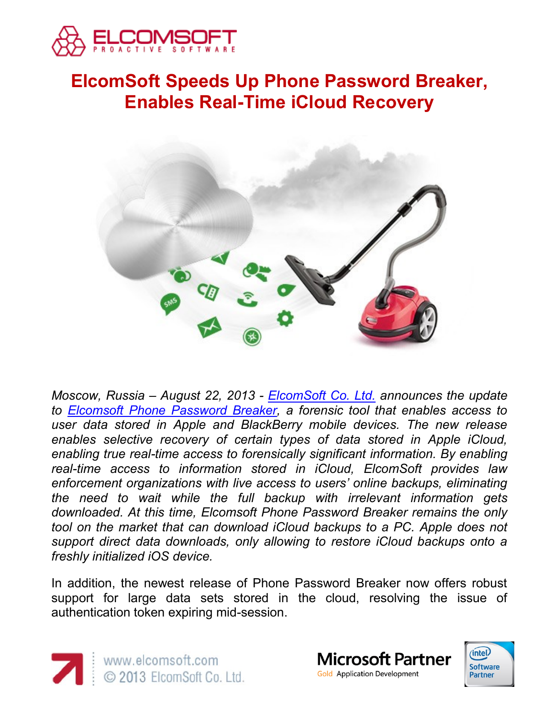

# **ElcomSoft Speeds Up Phone Password Breaker, Enables Real-Time iCloud Recovery**



*Moscow, Russia – August 22, 2013 - [ElcomSoft Co. Ltd.](http://www.elcomsoft.com/) announces the update to [Elcomsoft Phone Password Breaker,](http://www.elcomsoft.com/eppb.html) a forensic tool that enables access to user data stored in Apple and BlackBerry mobile devices. The new release enables selective recovery of certain types of data stored in Apple iCloud, enabling true real-time access to forensically significant information. By enabling real-time access to information stored in iCloud, ElcomSoft provides law enforcement organizations with live access to users' online backups, eliminating the need to wait while the full backup with irrelevant information gets downloaded. At this time, Elcomsoft Phone Password Breaker remains the only tool on the market that can download iCloud backups to a PC. Apple does not support direct data downloads, only allowing to restore iCloud backups onto a freshly initialized iOS device.*

In addition, the newest release of Phone Password Breaker now offers robust support for large data sets stored in the cloud, resolving the issue of authentication token expiring mid-session.





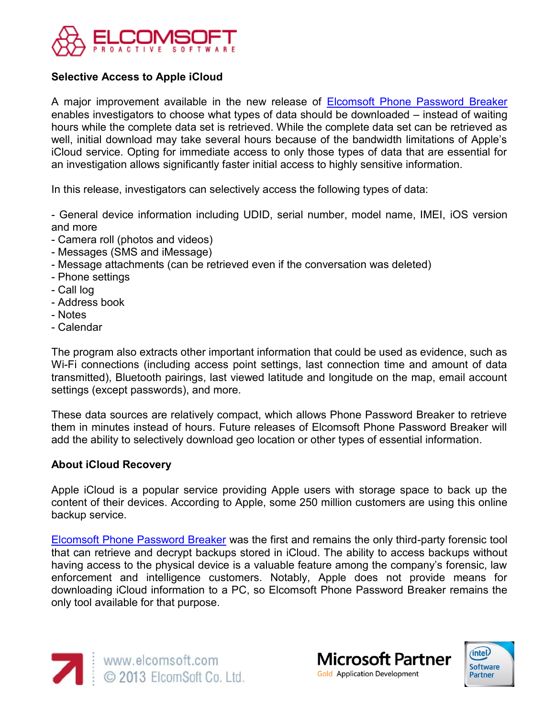

# **Selective Access to Apple iCloud**

A major improvement available in the new release of **Elcomsoft Phone Password Breaker** enables investigators to choose what types of data should be downloaded – instead of waiting hours while the complete data set is retrieved. While the complete data set can be retrieved as well, initial download may take several hours because of the bandwidth limitations of Apple's iCloud service. Opting for immediate access to only those types of data that are essential for an investigation allows significantly faster initial access to highly sensitive information.

In this release, investigators can selectively access the following types of data:

- General device information including UDID, serial number, model name, IMEI, iOS version and more

- Camera roll (photos and videos)
- Messages (SMS and iMessage)
- Message attachments (can be retrieved even if the conversation was deleted)
- Phone settings
- Call log
- Address book
- Notes
- Calendar

The program also extracts other important information that could be used as evidence, such as Wi-Fi connections (including access point settings, last connection time and amount of data transmitted), Bluetooth pairings, last viewed latitude and longitude on the map, email account settings (except passwords), and more.

These data sources are relatively compact, which allows Phone Password Breaker to retrieve them in minutes instead of hours. Future releases of Elcomsoft Phone Password Breaker will add the ability to selectively download geo location or other types of essential information.

## **About iCloud Recovery**

Apple iCloud is a popular service providing Apple users with storage space to back up the content of their devices. According to Apple, some 250 million customers are using this online backup service.

[Elcomsoft Phone Password Breaker](http://www.elcomsoft.com/eppb.html) was the first and remains the only third-party forensic tool that can retrieve and decrypt backups stored in iCloud. The ability to access backups without having access to the physical device is a valuable feature among the company's forensic, law enforcement and intelligence customers. Notably, Apple does not provide means for downloading iCloud information to a PC, so Elcomsoft Phone Password Breaker remains the only tool available for that purpose.